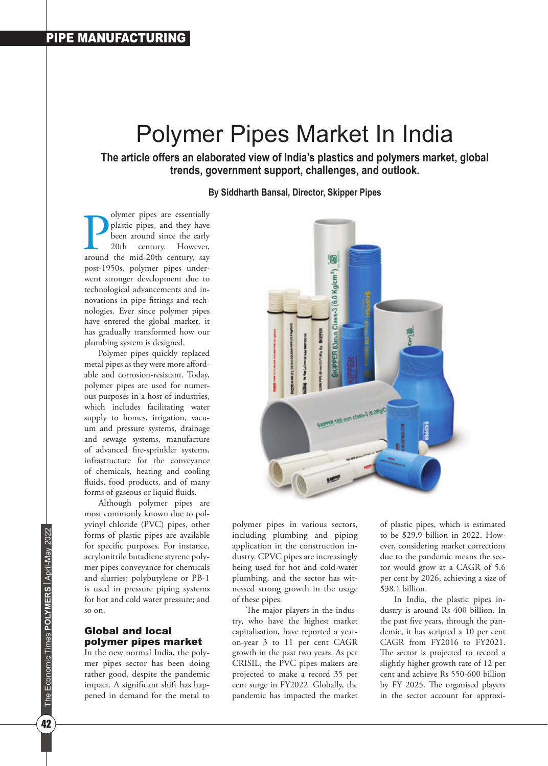# Polymer Pipes Market In India

**The article offers an elaborated view of India's plastics and polymers market, global trends, government support, challenges, and outlook.** 

**By Siddharth Bansal, Director, Skipper Pipes**

olymer pipes are essentially<br>plastic pipes, and they have<br>been around since the early<br>20th century. However,<br>around the mid-20th century, say olymer pipes are essentially plastic pipes, and they have been around since the early 20th century. However, post-1950s, polymer pipes underwent stronger development due to technological advancements and innovations in pipe fittings and technologies. Ever since polymer pipes have entered the global market, it has gradually transformed how our plumbing system is designed.

Polymer pipes quickly replaced metal pipes as they were more affordable and corrosion-resistant. Today, polymer pipes are used for numerous purposes in a host of industries, which includes facilitating water supply to homes, irrigation, vacuum and pressure systems, drainage and sewage systems, manufacture of advanced fire-sprinkler systems, infrastructure for the conveyance of chemicals, heating and cooling fluids, food products, and of many forms of gaseous or liquid fluids.

Although polymer pipes are most commonly known due to polyvinyl chloride (PVC) pipes, other forms of plastic pipes are available for specific purposes. For instance, acrylonitrile butadiene styrene polymer pipes conveyance for chemicals and slurries; polybutylene or PB-1 is used in pressure piping systems for hot and cold water pressure; and so on.

### Global and local polymer pipes market

In the new normal India, the polymer pipes sector has been doing rather good, despite the pandemic impact. A significant shift has happened in demand for the metal to



polymer pipes in various sectors, including plumbing and piping application in the construction industry. CPVC pipes are increasingly being used for hot and cold-water plumbing, and the sector has witnessed strong growth in the usage of these pipes.

The major players in the industry, who have the highest market capitalisation, have reported a yearon-year 3 to 11 per cent CAGR growth in the past two years. As per CRISIL, the PVC pipes makers are projected to make a record 35 per cent surge in FY2022. Globally, the pandemic has impacted the market

of plastic pipes, which is estimated to be \$29.9 billion in 2022. However, considering market corrections due to the pandemic means the sector would grow at a CAGR of 5.6 per cent by 2026, achieving a size of \$38.1 billion.

In India, the plastic pipes industry is around Rs 400 billion. In the past five years, through the pandemic, it has scripted a 10 per cent CAGR from FY2016 to FY2021. The sector is projected to record a slightly higher growth rate of 12 per cent and achieve Rs 550-600 billion by FY 2025. The organised players in the sector account for approxi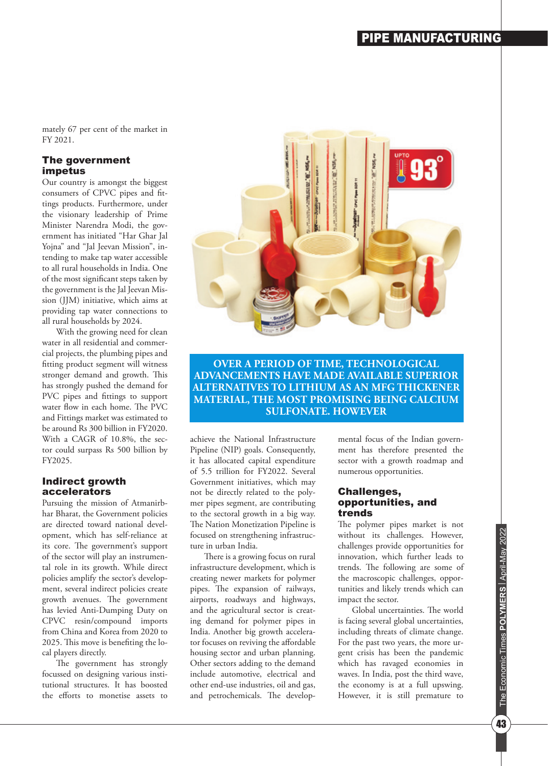mately 67 per cent of the market in FY 2021.

#### The government impetus

Our country is amongst the biggest consumers of CPVC pipes and fittings products. Furthermore, under the visionary leadership of Prime Minister Narendra Modi, the government has initiated "Har Ghar Jal Yojna" and "Jal Jeevan Mission", intending to make tap water accessible to all rural households in India. One of the most significant steps taken by the government is the Jal Jeevan Mission (JJM) initiative, which aims at providing tap water connections to all rural households by 2024.

With the growing need for clean water in all residential and commercial projects, the plumbing pipes and fitting product segment will witness stronger demand and growth. This has strongly pushed the demand for PVC pipes and fittings to support water flow in each home. The PVC and Fittings market was estimated to be around Rs 300 billion in FY2020. With a CAGR of 10.8%, the sector could surpass Rs 500 billion by FY2025.

#### Indirect growth accelerators

Pursuing the mission of Atmanirbhar Bharat, the Government policies are directed toward national development, which has self-reliance at its core. The government's support of the sector will play an instrumental role in its growth. While direct policies amplify the sector's development, several indirect policies create growth avenues. The government has levied Anti-Dumping Duty on CPVC resin/compound imports from China and Korea from 2020 to 2025. This move is benefiting the local players directly.

The government has strongly focussed on designing various institutional structures. It has boosted the efforts to monetise assets to



**OVER A PERIOD OF TIME, TECHNOLOGICAL ADVANCEMENTS HAVE MADE AVAILABLE SUPERIOR ALTERNATIVES TO LITHIUM AS AN MFG THICKENER MATERIAL, THE MOST PROMISING BEING CALCIUM SULFONATE. HOWEVER**

achieve the National Infrastructure Pipeline (NIP) goals. Consequently, it has allocated capital expenditure of 5.5 trillion for FY2022. Several Government initiatives, which may not be directly related to the polymer pipes segment, are contributing to the sectoral growth in a big way. The Nation Monetization Pipeline is focused on strengthening infrastructure in urban India.

There is a growing focus on rural infrastructure development, which is creating newer markets for polymer pipes. The expansion of railways, airports, roadways and highways, and the agricultural sector is creating demand for polymer pipes in India. Another big growth accelerator focuses on reviving the affordable housing sector and urban planning. Other sectors adding to the demand include automotive, electrical and other end-use industries, oil and gas, and petrochemicals. The developmental focus of the Indian government has therefore presented the sector with a growth roadmap and numerous opportunities.

#### Challenges, opportunities, and trends

The polymer pipes market is not without its challenges. However, challenges provide opportunities for innovation, which further leads to trends. The following are some of the macroscopic challenges, opportunities and likely trends which can impact the sector.

Global uncertainties. The world is facing several global uncertainties, including threats of climate change. For the past two years, the more urgent crisis has been the pandemic which has ravaged economies in waves. In India, post the third wave, the economy is at a full upswing. However, it is still premature to